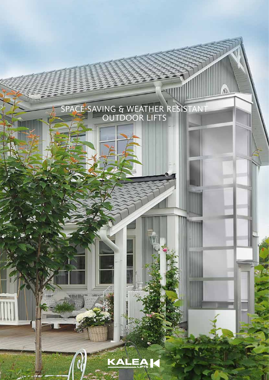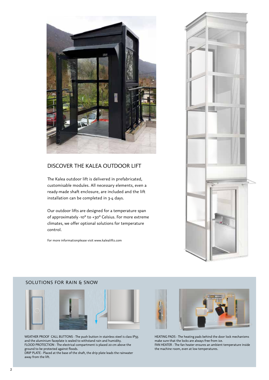

## DISCOVER THE KALEA OUTDOOR LIFT

The Kalea outdoor lift is delivered in prefabricated, customisable modules. All necessary elements, even a ready-made shaft enclosure, are included and the lift installation can be completed in 3-4 days.

Our outdoor lifts are designed for a temperature span of approximately -10° to +30° Celsius. For more extreme climates, we offer optional solutions for temperature control.

For more informationplease visit www.kalealifts.com



## SOLUTIONS FOR RAIN & SNOW



WEATHER PROOF CALL BUTTONS - The push button in stainless steel is class IP55 and the aluminium faceplate is sealed to withstand rain and humidity. FLOOD PROTECTION - The electrical compartment is placed 20 cm above the ground to be protected against floods.

DRIP PLATE - Placed at the base of the shaft, the drip plate leads the rainwater away from the lift.



HEATING PADS - The heating pads behind the door lock mechanisms make sure that the locks are always free from ice. FAN HEATER - The fan heater ensures an ambient temperature inside the machine room, even at low temperatures.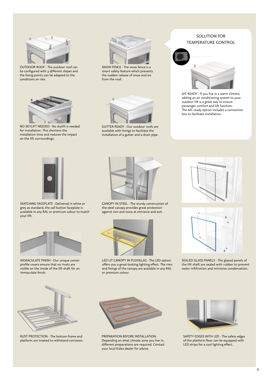

OUTDOOR ROOF - The outdoor roof can be configured with 3 different slopes and the fixing points can be adapted to the conditions on site.



NO SKYLIFT NEEDED - No skylift is needed for installation. This shortens the installation time and reduces the impact on the lift surroundings.



SNOW FENCE - The snow fence is a smart safety feature which prevents the sudden release of snow and ice from the roof.



GUTTER READY - Our outdoor roofs are available with fixings to facilitate the installation of a gutter and a drain pipe.

## SOLUTION FOR TEMPERATURE CONTROL



A/C READY - If you live in a warm climate, adding an air conditioning system to your outdoor lift is a great way to ensure passenger comfort and lift function. The A/C ready option includes a connection box to facilitate installation.



MATCHING FACEPLATE - Delivered in white or grey as standard, the call button faceplate is available in any RAL or premium colour to match your lift.



IMMACULATE FINISH - Our unique corner profile covers ensure that no rivets are visible on the inside of the lift shaft for an immaculate finish.



CANOPY IN STEEL - The sturdy construction of the steel canopy provides great protection against rain and snow at entrance and exit.



LED LIT CANOPY IN PLEXIGLAS - The LED option offers you a great-looking lighting effect. The rims and fixings of the canopy are available in any RAL or premium colour.





SEALED GLASS PANELS - The glazed panels of the lift shaft are sealed with rubber to prevent water infiltration and minimise condensation.



RUST PROTECTION - The bottom frame and platform are treated to withstand corrosion.



PREPARATION BEFORE INSTALLATION - Depending on what climate zone you live in, different preparations are required. Contact your local Kalea dealer for advice.



SAFETY EDGES WITH LED - The safety edges of the platform floor can be equipped with LED strips for a cool lighting effect.